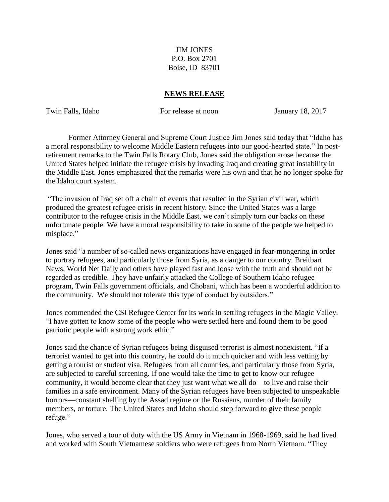JIM JONES P.O. Box 2701 Boise, ID 83701

## **NEWS RELEASE**

Twin Falls, Idaho For release at noon January 18, 2017

Former Attorney General and Supreme Court Justice Jim Jones said today that "Idaho has a moral responsibility to welcome Middle Eastern refugees into our good-hearted state." In postretirement remarks to the Twin Falls Rotary Club, Jones said the obligation arose because the United States helped initiate the refugee crisis by invading Iraq and creating great instability in the Middle East. Jones emphasized that the remarks were his own and that he no longer spoke for the Idaho court system.

"The invasion of Iraq set off a chain of events that resulted in the Syrian civil war, which produced the greatest refugee crisis in recent history. Since the United States was a large contributor to the refugee crisis in the Middle East, we can't simply turn our backs on these unfortunate people. We have a moral responsibility to take in some of the people we helped to misplace."

Jones said "a number of so-called news organizations have engaged in fear-mongering in order to portray refugees, and particularly those from Syria, as a danger to our country. Breitbart News, World Net Daily and others have played fast and loose with the truth and should not be regarded as credible. They have unfairly attacked the College of Southern Idaho refugee program, Twin Falls government officials, and Chobani, which has been a wonderful addition to the community. We should not tolerate this type of conduct by outsiders."

Jones commended the CSI Refugee Center for its work in settling refugees in the Magic Valley. "I have gotten to know some of the people who were settled here and found them to be good patriotic people with a strong work ethic."

Jones said the chance of Syrian refugees being disguised terrorist is almost nonexistent. "If a terrorist wanted to get into this country, he could do it much quicker and with less vetting by getting a tourist or student visa. Refugees from all countries, and particularly those from Syria, are subjected to careful screening. If one would take the time to get to know our refugee community, it would become clear that they just want what we all do—to live and raise their families in a safe environment. Many of the Syrian refugees have been subjected to unspeakable horrors—constant shelling by the Assad regime or the Russians, murder of their family members, or torture. The United States and Idaho should step forward to give these people refuge."

Jones, who served a tour of duty with the US Army in Vietnam in 1968-1969, said he had lived and worked with South Vietnamese soldiers who were refugees from North Vietnam. "They